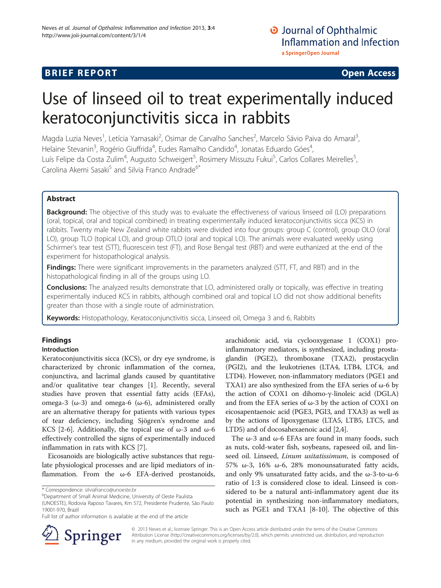## **BRIEF REPORT CONSUMING THE EXAMPLE ACCESS**

# Use of linseed oil to treat experimentally induced keratoconjunctivitis sicca in rabbits

Magda Luzia Neves<sup>1</sup>, Letícia Yamasaki<sup>2</sup>, Osimar de Carvalho Sanches<sup>2</sup>, Marcelo Sávio Paiva do Amaral<sup>3</sup> , Helaine Stevanin<sup>3</sup>, Rogério Giuffrida<sup>4</sup>, Eudes Ramalho Candido<sup>4</sup>, Jonatas Eduardo Góes<sup>4</sup> , Luís Felipe da Costa Zulim<sup>4</sup>, Augusto Schweigert<sup>5</sup>, Rosimery Missuzu Fukui<sup>5</sup>, Carlos Collares Meirelles<sup>5</sup> , Carolina Akemi Sasaki<sup>5</sup> and Silvia Franco Andrade<sup>6\*</sup>

## Abstract

Background: The objective of this study was to evaluate the effectiveness of various linseed oil (LO) preparations (oral, topical, oral and topical combined) in treating experimentally induced keratoconjunctivitis sicca (KCS) in rabbits. Twenty male New Zealand white rabbits were divided into four groups: group C (control), group OLO (oral LO), group TLO (topical LO), and group OTLO (oral and topical LO). The animals were evaluated weekly using Schirmer's tear test (STT), fluorescein test (FT), and Rose Bengal test (RBT) and were euthanized at the end of the experiment for histopathological analysis.

Findings: There were significant improvements in the parameters analyzed (STT, FT, and RBT) and in the histopathological finding in all of the groups using LO.

Conclusions: The analyzed results demonstrate that LO, administered orally or topically, was effective in treating experimentally induced KCS in rabbits, although combined oral and topical LO did not show additional benefits greater than those with a single route of administration.

Keywords: Histopathology, Keratoconjunctivitis sicca, Linseed oil, Omega 3 and 6, Rabbits

## Findings

### Introduction

Keratoconjunctivitis sicca (KCS), or dry eye syndrome, is characterized by chronic inflammation of the cornea, conjunctiva, and lacrimal glands caused by quantitative and/or qualitative tear changes [[1\]](#page-4-0). Recently, several studies have proven that essential fatty acids (EFAs), omega-3 (ω-3) and omega-6 (ω-6), administered orally are an alternative therapy for patients with various types of tear deficiency, including Sjögren's syndrome and KCS [[2-6](#page-4-0)]. Additionally, the topical use of  $\omega$ -3 and  $\omega$ -6 effectively controlled the signs of experimentally induced inflammation in rats with KCS [[7](#page-4-0)].

Eicosanoids are biologically active substances that regulate physiological processes and are lipid mediators of inflammation. From the ω-6 EFA-derived prostanoids,



The  $\omega$ -3 and  $\omega$ -6 EFAs are found in many foods, such as nuts, cold-water fish, soybeans, rapeseed oil, and linseed oil. Linseed, Linum usitatissimum, is composed of 57% ω-3, 16% ω-6, 28% monounsaturated fatty acids, and only 9% unsaturated fatty acids, and the ω-3-to-ω-6 ratio of 1:3 is considered close to ideal. Linseed is considered to be a natural anti-inflammatory agent due its potential in synthesizing non-inflammatory mediators, such as PGE1 and TXA1 [\[8](#page-4-0)-[10\]](#page-4-0). The objective of this



© 2013 Neves et al.; licensee Springer. This is an Open Access article distributed under the terms of the Creative Commons Attribution License [\(http://creativecommons.org/licenses/by/2.0\)](http://creativecommons.org/licenses/by/2.0), which permits unrestricted use, distribution, and reproduction in any medium, provided the original work is properly cited.

<sup>\*</sup> Correspondence: [silviafranco@unoeste.br](mailto:silviafranco@unoeste.br) <sup>6</sup>

Department of Small Animal Medicine, University of Oeste Paulista

<sup>(</sup>UNOESTE), Rodovia Raposo Tavares, Km 572, Presidente Prudente, São Paulo 19001-970, Brazil

Full list of author information is available at the end of the article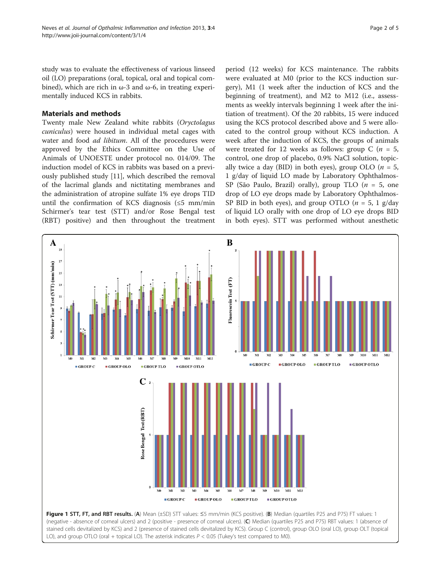<span id="page-1-0"></span>study was to evaluate the effectiveness of various linseed oil (LO) preparations (oral, topical, oral and topical combined), which are rich in  $\omega$ -3 and  $\omega$ -6, in treating experimentally induced KCS in rabbits.

#### Materials and methods

Twenty male New Zealand white rabbits (Oryctolagus cuniculus) were housed in individual metal cages with water and food *ad libitum*. All of the procedures were approved by the Ethics Committee on the Use of Animals of UNOESTE under protocol no. 014/09. The induction model of KCS in rabbits was based on a previously published study [[11\]](#page-4-0), which described the removal of the lacrimal glands and nictitating membranes and the administration of atropine sulfate 1% eye drops TID until the confirmation of KCS diagnosis  $(\leq 5 \text{ mm/min})$ Schirmer's tear test (STT) and/or Rose Bengal test (RBT) positive) and then throughout the treatment

period (12 weeks) for KCS maintenance. The rabbits were evaluated at M0 (prior to the KCS induction surgery), M1 (1 week after the induction of KCS and the beginning of treatment), and M2 to M12 (i.e., assessments as weekly intervals beginning 1 week after the initiation of treatment). Of the 20 rabbits, 15 were induced using the KCS protocol described above and 5 were allocated to the control group without KCS induction. A week after the induction of KCS, the groups of animals were treated for 12 weeks as follows: group C ( $n = 5$ , control, one drop of placebo, 0.9% NaCl solution, topically twice a day (BID) in both eyes), group OLO ( $n = 5$ , 1 g/day of liquid LO made by Laboratory Ophthalmos-SP (São Paulo, Brazil) orally), group TLO ( $n = 5$ , one drop of LO eye drops made by Laboratory Ophthalmos-SP BID in both eyes), and group OTLO ( $n = 5$ , 1 g/day of liquid LO orally with one drop of LO eye drops BID in both eyes). STT was performed without anesthetic

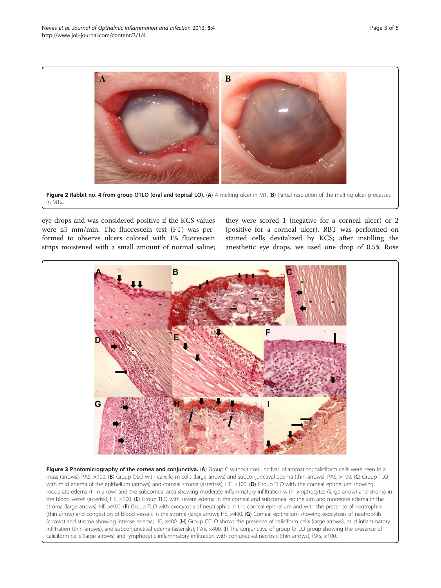<span id="page-2-0"></span>

eye drops and was considered positive if the KCS values were ≤5 mm/min. The fluorescein test (FT) was performed to observe ulcers colored with 1% fluorescein strips moistened with a small amount of normal saline;

they were scored 1 (negative for a corneal ulcer) or 2 (positive for a corneal ulcer). RBT was performed on stained cells devitalized by KCS; after instilling the anesthetic eye drops, we used one drop of 0.5% Rose



Figure 3 Photomicrography of the cornea and conjunctiva. (A) Group C without conjunctival inflammation; caliciform cells were seen in a mass (arrows); PAS, ×100. (B) Group OLO with caliciform cells (large arrows) and subconjunctival edema (thin arrows); PAS, ×100. (C) Group TLO with mild edema of the epithelium (arrows) and corneal stroma (asterisks); HE,  $\times$ 100. (D) Group TLO with the corneal epithelium showing moderate edema (thin arrow) and the subcorneal area showing moderate inflammatory infiltration with lymphocytes (large arrow) and stroma in the blood vessel (asterisk); HE,  $\times$ 100. (E) Group TLO with severe edema in the corneal and subcorneal epithelium and moderate edema in the stroma (large arrows); HE, ×400. (F) Group TLO with exocytosis of neutrophils in the corneal epithelium and with the presence of neutrophils (thin arrow) and congestion of blood vessels in the stroma (large arrow); HE, ×400. (G) Corneal epithelium showing exocytosis of neutrophils (arrows) and stroma showing intense edema; HE, x400. (H) Group OTLO shows the presence of caliciform cells (large arrows), mild inflammatory infiltration (thin arrows), and subconjunctival edema (asterisks); PAS, ×400. (I) The conjunctiva of group OTLO group showing the presence of caliciform cells (large arrows) and lymphocytic inflammatory infiltration with conjunctival necrosis (thin arrows); PAS, ×100.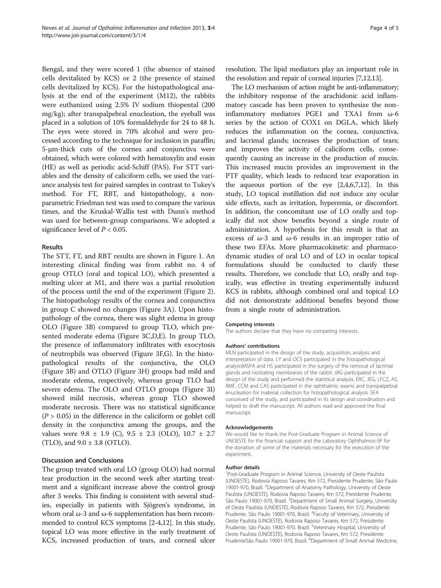Bengal, and they were scored 1 (the absence of stained cells devitalized by KCS) or 2 (the presence of stained cells devitalized by KCS). For the histopathological analysis at the end of the experiment (M12), the rabbits were euthanized using 2.5% IV sodium thiopental (200 mg/kg); after transpalpebral enucleation, the eyeball was placed in a solution of 10% formaldehyde for 24 to 48 h. The eyes were stored in 70% alcohol and were processed according to the technique for inclusion in paraffin; 5-μm-thick cuts of the cornea and conjunctiva were obtained, which were colored with hematoxylin and eosin (HE) as well as periodic acid-Schiff (PAS). For STT variables and the density of caliciform cells, we used the variance analysis test for paired samples in contrast to Tukey's method. For FT, RBT, and histopathology, a nonparametric Friedman test was used to compare the various times, and the Kruskal-Wallis test with Dunn's method was used for between-group comparisons. We adopted a significance level of  $P < 0.05$ .

#### Results

The STT, FT, and RBT results are shown in Figure [1](#page-1-0). An interesting clinical finding was from rabbit no. 4 of group OTLO (oral and topical LO), which presented a melting ulcer at M1, and there was a partial resolution of the process until the end of the experiment (Figure [2](#page-2-0)). The histopathology results of the cornea and conjunctiva in group C showed no changes (Figure [3](#page-2-0)A). Upon histopathology of the cornea, there was slight edema in group OLO (Figure [3B](#page-2-0)) compared to group TLO, which presented moderate edema (Figure [3](#page-2-0)C,D,E). In group TLO, the presence of inflammatory infiltrates with exocytosis of neutrophils was observed (Figure [3](#page-2-0)F,G). In the histopathological results of the conjunctiva, the OLO (Figure [3B](#page-2-0)) and OTLO (Figure [3](#page-2-0)H) groups had mild and moderate edema, respectively, whereas group TLO had severe edema. The OLO and OTLO groups (Figure [3I](#page-2-0)) showed mild necrosis, whereas group TLO showed moderate necrosis. There was no statistical significance  $(P > 0.05)$  in the difference in the caliciform or goblet cell density in the conjunctiva among the groups, and the values were 9.8 ± 1.9 (C), 9.5 ± 2.3 (OLO), 10.7 ± 2.7  $(TLO)$ , and  $9.0 \pm 3.8$  (OTLO).

#### Discussion and Conclusions

The group treated with oral LO (group OLO) had normal tear production in the second week after starting treatment and a significant increase above the control group after 3 weeks. This finding is consistent with several studies, especially in patients with Sjögren's syndrome, in whom oral ω-3 and ω-6 supplementation has been recommended to control KCS symptoms [\[2](#page-4-0)-[4,12](#page-4-0)]. In this study, topical LO was more effective in the early treatment of KCS, increased production of tears, and corneal ulcer resolution. The lipid mediators play an important role in the resolution and repair of corneal injuries [[7,12,13\]](#page-4-0).

The LO mechanism of action might be anti-inflammatory; the inhibitory response of the arachidonic acid inflammatory cascade has been proven to synthesize the noninflammatory mediators PGE1 and TXA1 from ω-6 series by the action of COX1 on DGLA, which likely reduces the inflammation on the cornea, conjunctiva, and lacrimal glands; increases the production of tears; and improves the activity of caliciform cells, consequently causing an increase in the production of mucin. This increased mucin provides an improvement in the PTF quality, which leads to reduced tear evaporation in the aqueous portion of the eye  $[2,4,6,7,12]$  $[2,4,6,7,12]$ . In this study, LO topical instillation did not induce any ocular side effects, such as irritation, hyperemia, or discomfort. In addition, the concomitant use of LO orally and topically did not show benefits beyond a single route of administration. A hypothesis for this result is that an excess of  $\omega$ -3 and  $\omega$ -6 results in an improper ratio of these two EFAs. More pharmacokinetic and pharmacodynamic studies of oral LO and of LO in ocular topical formulations should be conducted to clarify these results. Therefore, we conclude that LO, orally and topically, was effective in treating experimentally induced KCS in rabbits, although combined oral and topical LO did not demonstrate additional benefits beyond those from a single route of administration.

#### Competing interests

The authors declare that they have no competing interests.

#### Authors' contributions

MLN participated in the design of the study, acquisition, analysis and interpretation of data. LY and OCS participated in the histopathological analysisMSPA and HS participated in the surgery of the removal of lacrimal glands and nictitating membranes of the rabbit. sRG participated in the design of the study and performed the statistical analysis. ERC, JEG, LFCZ, AS, RMF, CCM and CAS participated in the ophthalmic exams and transpalpebral enucleation for material collection for histopathological analysis. SFA conceived of the study, and participated in its design and coordination and helped to draft the manuscript. All authors read and approved the final manuscript.

#### Acknowledgements

We would like to thank the Post-Graduate Program in Animal Science of UNOESTE for the financial support and the Laboratory Ophthalmos-SP for the donation of some of the materials necessary for the execution of the experiment.

#### Author details

<sup>1</sup>Post-Graduate Program in Animal Science, University of Oeste Paulista (UNOESTE), Rodovia Raposo Tavares, Km 572, Presidente Prudente, São Paulo 19001-970, Brazil. <sup>2</sup>Department of Anatomy Pathology, University of Oeste Paulista (UNOESTE), Rodovia Raposo Tavares, Km 572, Presidente Prudente, São Paulo 19001-970, Brazil. <sup>3</sup>Department of Small Animal Surgery, University of Oeste Paulista (UNOESTE), Rodovia Raposo Tavares, Km 572, Presidente Prudente, São Paulo 19001-970, Brazil. <sup>4</sup>Faculty of Veterinary, University of Oeste Paulista (UNOESTE), Rodovia Raposo Tavares, Km 572, Presidente Prudente, São Paulo 19001-970, Brazil. <sup>5</sup>Veterinary Hospital, University of Oeste Paulista (UNOESTE), Rodovia Raposo Tavares, Km 572, Presidente PrudenteSão Paulo 19001-970, Brazil. <sup>6</sup>Department of Small Animal Medicine,